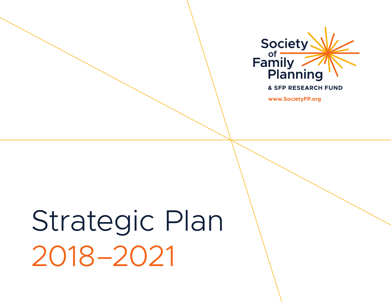

**& SFP RESEARCH FUND** 

**www.SocietyFP.org**

# Strategic Plan 2018–2021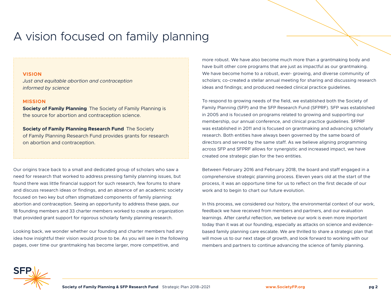### A vision focused on family planning

#### **VISION**

*Just and equitable abortion and contraception informed by science*

#### **MISSION**

**Society of Family Planning** The Society of Family Planning is the source for abortion and contraception science.

**Society of Family Planning Research Fund** The Society of Family Planning Research Fund provides grants for research on abortion and contraception.

Our origins trace back to a small and dedicated group of scholars who saw a need for research that worked to address pressing family planning issues, but found there was little financial support for such research, few forums to share and discuss research ideas or findings, and an absence of an academic society focused on two key but often stigmatized components of family planning: abortion and contraception. Seeing an opportunity to address these gaps, our 18 founding members and 33 charter members worked to create an organization that provided grant support for rigorous scholarly family planning research.

Looking back, we wonder whether our founding and charter members had any idea how insightful their vision would prove to be. As you will see in the following pages, over time our grantmaking has become larger, more competitive, and

more robust. We have also become much more than a grantmaking body and have built other core programs that are just as impactful as our grantmaking. We have become home to a robust, ever- growing, and diverse community of scholars; co-created a stellar annual meeting for sharing and discussing research ideas and findings; and produced needed clinical practice guidelines.

To respond to growing needs of the field, we established both the Society of Family Planning (SFP) and the SFP Research Fund (SFPRF). SFP was established in 2005 and is focused on programs related to growing and supporting our membership, our annual conference, and clinical practice guidelines. SFPRF was established in 2011 and is focused on grantmaking and advancing scholarly research. Both entities have always been governed by the same board of directors and served by the same staff. As we believe aligning programming across SFP and SFPRF allows for synergistic and increased impact, we have created one strategic plan for the two entities.

Between February 2016 and February 2018, the board and staff engaged in a comprehensive strategic planning process. Eleven years old at the start of the process, it was an opportune time for us to reflect on the first decade of our work and to begin to chart our future evolution.

In this process, we considered our history, the environmental context of our work, feedback we have received from members and partners, and our evaluation learnings. After careful reflection, we believe our work is even more important today than it was at our founding, especially as attacks on science and evidencebased family planning care escalate. We are thrilled to share a strategic plan that will move us to our next stage of growth, and look forward to working with our members and partners to continue advancing the science of family planning.

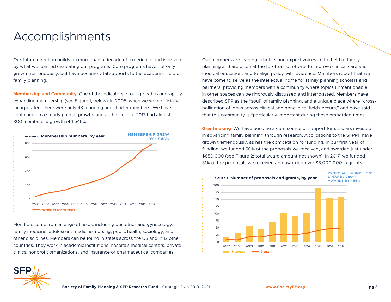### Accomplishments

Our future direction builds on more than a decade of experience and is driven by what we learned evaluating our programs. Core programs have not only grown tremendously, but have become vital supports to the academic field of family planning.

**Membership and Community** One of the indicators of our growth is our rapidly expanding membership (see Figure 1, below). In 2005, when we were officially incorporated, there were only 48 founding and charter members. We have continued on a steady path of growth, and at the close of 2017 had almost 800 members, a growth of 1,546%.



Members come from a range of fields, including obstetrics and gynecology, family medicine, adolescent medicine, nursing, public health, sociology, and other disciplines. Members can be found in states across the US and in 12 other countries. They work in academic institutions, hospitals medical centers, private clinics, nonprofit organizations, and insurance or pharmaceutical companies.

Our members are leading scholars and expert voices in the field of family planning and are often at the forefront of efforts to improve clinical care and medical education, and to align policy with evidence. Members report that we have come to serve as the intellectual home for family planning scholars and partners, providing members with a community where topics unmentionable in other spaces can be rigorously discussed and interrogated. Members have described SFP as the "soul" of family planning, and a unique place where "crosspollination of ideas across clinical and nonclinical fields occurs," and have said that this community is "particularly important during these embattled times."

**Grantmaking** We have become a core source of support for scholars invested in advancing family planning through research. Applications to the SFPRF have grown tremendously, as has the competition for funding. In our first year of funding, we funded 50% of the proposals we received, and awarded just under \$650,000 (see Figure 2; total award amount not shown). In 2017, we funded 31% of the proposals we received and awarded over \$3,000,000 in grants.



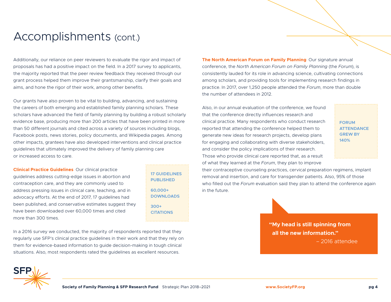### Accomplishments (cont.)

Additionally, our reliance on peer reviewers to evaluate the rigor and impact of proposals has had a positive impact on the field. In a 2017 survey to applicants, the majority reported that the peer review feedback they received through our grant process helped them improve their grantsmanship, clarify their goals and aims, and hone the rigor of their work, among other benefits.

Our grants have also proven to be vital to building, advancing, and sustaining the careers of both emerging and established family planning scholars. These scholars have advanced the field of family planning by building a robust scholarly evidence base, producing more than 200 articles that have been printed in more than 50 different journals and cited across a variety of sources including blogs, Facebook posts, news stories, policy documents, and Wikipedia pages. Among other impacts, grantees have also developed interventions and clinical practice guidelines that ultimately improved the delivery of family planning care or increased access to care.

**Clinical Practice Guidelines** Our clinical practice guidelines address cutting-edge issues in abortion and contraception care, and they are commonly used to address pressing issues in clinical care, teaching, and in advocacy efforts. At the end of 2017, 17 guidelines had been published, and conservative estimates suggest they have been downloaded over 60,000 times and cited more than 300 times.

**17 GUIDELINES PUBLISHED 60,000+ DOWNLOADS 300+ CITATIONS**

In a 2016 survey we conducted, the majority of respondents reported that they regularly use SFP's clinical practice guidelines in their work and that they rely on them for evidence-based information to guide decision-making in tough clinical situations. Also, most respondents rated the guidelines as excellent resources.

**The North American Forum on Family Planning** Our signature annual conference, the *North American Forum on Family Planning* (the *Forum*), is consistently lauded for its role in advancing science, cultivating connections among scholars, and providing tools for implementing research findings in practice. In 2017, over 1,250 people attended the *Forum*, more than double the number of attendees in 2012.

Also, in our annual evaluation of the conference, we found that the conference directly influences research and clinical practice. Many respondents who conduct research reported that attending the conference helped them to generate new ideas for research projects, develop plans for engaging and collaborating with diverse stakeholders, and consider the policy implications of their research. Those who provide clinical care reported that, as a result of what they learned at the *Forum*, they plan to improve

**FORUM ATTENDANCE GREW BY 140%**

their contraceptive counseling practices, cervical preparation regimens, implant removal and insertion, and care for transgender patients. Also, 95% of those who filled out the *Forum* evaluation said they plan to attend the conference again in the future.



– 2016 attendee



**Society of Family Planning & SFP Research Fund** Strategic Plan 2018–2021 **www.SocietyFP.org pg 4**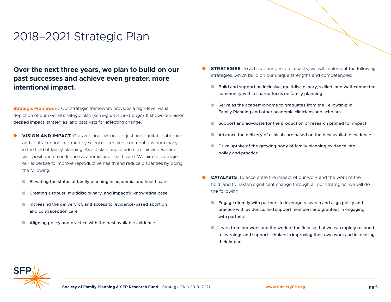### 2018–2021 Strategic Plan

### **Over the next three years, we plan to build on our past successes and achieve even greater, more intentional impact.**

**Strategic Framework** Our strategic framework provides a high-level visual depiction of our overall strategic plan (*see Figure 3, next page*). It shows our vision, desired impact, strategies, and catalysts for effecting change.

- **VISION AND IMPACT** Our ambitious vision—of just and equitable abortion and contraception informed by science—requires contributions from many in the field of family planning. As scholars and academic clinicians, we are well-positioned to influence academia and health care. We aim to leverage our expertise to improve reproductive health and reduce disparities by doing the following:
	- **n** Elevating the status of family planning in academia and health care
	- $\blacksquare$  Creating a robust, multidisciplinary, and impactful knowledge base
	- $\blacksquare$  Increasing the delivery of, and access to, evidence-based abortion and contraception care
	- $\blacksquare$  Aligning policy and practice with the best available evidence
- **STRATEGIES** To achieve our desired impacts, we will implement the following strategies, which build on our unique strengths and competencies:
	- Build and support an inclusive, multidisciplinary, skilled, and well-connected community with a shared focus on family planning
	- $\blacksquare$  Serve as the academic home to graduates from the Fellowship in Family Planning and other academic clinicians and scholars
	- **n** Support and advocate for the production of research primed for impact
	- Advance the delivery of clinical care based on the best available evidence
	- $\blacksquare$  Drive uptake of the growing body of family planning evidence into policy and practice
- **CATALYSTS** To accelerate the impact of our work and the work of the field, and to hasten significant change through all our strategies, we will do the following:
	- $\blacksquare$  Engage directly with partners to leverage research and align policy and practice with evidence, and support members and grantees in engaging with partners
	- $\blacksquare$  Learn from our work and the work of the field so that we can rapidly respond to learnings and support scholars in improving their own work and increasing their impact

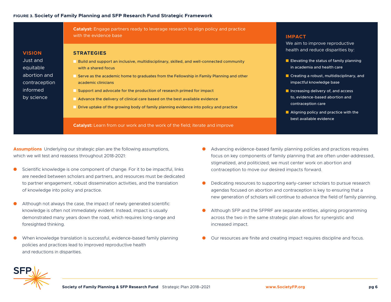### **FIGURE 3. Society of Family Planning and SFP Research Fund Strategic Framework**

**Catalyst:** Engage partners ready to leverage research to align policy and practice with the evidence base

### **VISION** Just and equitable abortion and contraception informed by science

#### **STRATEGIES**

- **n** Build and support an inclusive, multidisciplinary, skilled, and well-connected community with a shared focus
- **n** Serve as the academic home to graduates from the Fellowship in Family Planning and other academic clinicians
- **n** Support and advocate for the production of research primed for impact
- **n** Advance the delivery of clinical care based on the best available evidence
- n Drive uptake of the growing body of family planning evidence into policy and practice

**Catalyst:** Learn from our work and the work of the field; iterate and improve

### **IMPACT**

We aim to improve reproductive health and reduce disparities by:

- $\blacksquare$  Elevating the status of family planning in academia and health care
- $\blacksquare$  Creating a robust, multidisciplinary, and impactful knowledge base
- $\blacksquare$  Increasing delivery of, and access to, evidence-based abortion and contraception care
- $\blacksquare$  Aligning policy and practice with the best available evidence

**Assumptions** Underlying our strategic plan are the following assumptions, which we will test and reassess throughout 2018-2021:

- Scientific knowledge is one component of change. For it to be impactful, links are needed between scholars and partners, and resources must be dedicated to partner engagement, robust dissemination activities, and the translation of knowledge into policy and practice.
- Although not always the case, the impact of newly generated scientific knowledge is often not immediately evident. Instead, impact is usually demonstrated many years down the road, which requires long-range and foresighted thinking.
- When knowledge translation is successful, evidence-based family planning policies and practices lead to improved reproductive health and reductions in disparities.
- Advancing evidence-based family planning policies and practices requires focus on key components of family planning that are often under-addressed, stigmatized, and politicized; we must center work on abortion and contraception to move our desired impacts forward.
- Dedicating resources to supporting early-career scholars to pursue research agendas focused on abortion and contraception is key to ensuring that a new generation of scholars will continue to advance the field of family planning.
- Although SFP and the SFPRF are separate entities, aligning programming across the two in the same strategic plan allows for synergistic and increased impact.
- Our resources are finite and creating impact requires discipline and focus.

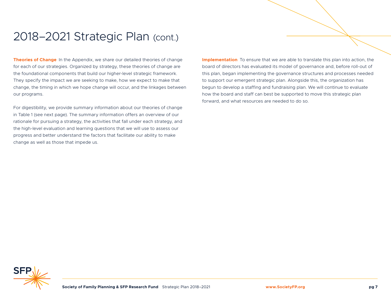### 2018–2021 Strategic Plan (cont.)

**Theories of Change** In the Appendix, we share our detailed theories of change for each of our strategies. Organized by strategy, these theories of change are the foundational components that build our higher-level strategic framework. They specify the impact we are seeking to make, how we expect to make that change, the timing in which we hope change will occur, and the linkages between our programs.

For digestibility, we provide summary information about our theories of change in Table 1 (see next page). The summary information offers an overview of our rationale for pursuing a strategy, the activities that fall under each strategy, and the high-level evaluation and learning questions that we will use to assess our progress and better understand the factors that facilitate our ability to make change as well as those that impede us.

**Implementation** To ensure that we are able to translate this plan into action, the board of directors has evaluated its model of governance and, before roll-out of this plan, began implementing the governance structures and processes needed to support our emergent strategic plan. Alongside this, the organization has begun to develop a staffing and fundraising plan. We will continue to evaluate how the board and staff can best be supported to move this strategic plan forward, and what resources are needed to do so.

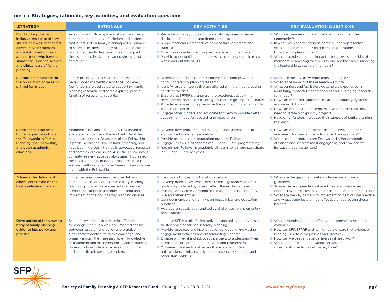### **TABLE 1. Strategies, rationale, key activities, and evaluation questions**

| <b>STRATEGY</b>                                                                                                                                                                                                                                | <b>RATIONALE</b>                                                                                                                                                                                                                                                                                                                                                                                                                                                                                                  | <b>KEY ACTIVITIES</b>                                                                                                                                                                                                                                                                                                                                                                                                                                                                                                                              | <b>KEY EVALUATION QUESTIONS</b>                                                                                                                                                                                                                                                                                                                                                                                                                                                                                                                    |
|------------------------------------------------------------------------------------------------------------------------------------------------------------------------------------------------------------------------------------------------|-------------------------------------------------------------------------------------------------------------------------------------------------------------------------------------------------------------------------------------------------------------------------------------------------------------------------------------------------------------------------------------------------------------------------------------------------------------------------------------------------------------------|----------------------------------------------------------------------------------------------------------------------------------------------------------------------------------------------------------------------------------------------------------------------------------------------------------------------------------------------------------------------------------------------------------------------------------------------------------------------------------------------------------------------------------------------------|----------------------------------------------------------------------------------------------------------------------------------------------------------------------------------------------------------------------------------------------------------------------------------------------------------------------------------------------------------------------------------------------------------------------------------------------------------------------------------------------------------------------------------------------------|
| Build and support an<br>inclusive, multidisciplinary,<br>skilled, and well-connected<br>community of emerging<br>and established scholars<br>and partners who have a<br>shared focus on the science<br>and clinical care of family<br>planning | An inclusive, multidisciplinary, skilled, and well-<br>connected community of scholars and partners<br>that is focused on family planning will be primed<br>to serve as leaders in family planning and agents<br>of change in multiple spaces, creating impact<br>through the collective and varied strengths of the<br>community.                                                                                                                                                                                | Recruit a rich array of new scholars who represent diverse<br>disciplines, institutions, and demographic groups<br>Support scholars' career development through grants and<br>trainings<br>$\blacksquare$ Enhance connections among new and existing members<br>Provide opportunities for members to take on leadership roles<br>within and outside of SFP                                                                                                                                                                                         | ■ Who is a member of SFP and who is missing from the<br>community?<br>In what ways can we address barriers underrepresented<br>scholars face within SFP, their home organizations, and the<br>broad family planning field?<br>■ What strategies are most impactful for growing the skills of<br>members, connecting members to one another, and enhancing<br>the leadership capacity of members?                                                                                                                                                   |
| Support and advocate for<br>the production of research<br>primed for impact                                                                                                                                                                    | Family planning policies and practices should<br>be grounded in scientific evidence. However,<br>few funders are dedicated to supporting family<br>planning research, and some explicitly prohibit<br>funding of research on abortion                                                                                                                                                                                                                                                                             | $\blacksquare$ Diversify and support the development of scholars who are<br>conducting family planning research<br>I Identify research topics that are aligned with the most pressing<br>needs of the field<br>Ensure that SFPRF's grantmaking procedures support the<br>development and selection of rigorous and high-impact research<br>Provide resources to help improve the rigor and impact of family<br>planning research<br>Engage other funders and advocate for them to provide better<br>support for impactful research and researchers | ■ What are the key knowledge gaps in the field?<br>■ What is the impact of the research we fund?<br>■ What barriers and facilitators do scholars experience in<br>identifying impactful research topics and leveraging research<br>for impact?<br>$\blacksquare$ How can we better support scholars in producing rigorous<br>and impactful work?<br>$\blacksquare$ How can we ensure that scholars have the resources they<br>need to tackle high-priority projects?<br>Have other funders increased their support of family planning<br>research? |
| Serve as the academic<br>home to graduates from<br>the Fellowship in Family<br>Planning (the Fellowship)<br>and other academic<br>clinicians                                                                                                   | Academic clinicians are uniquely positioned to<br>advocate for change within and outside of the<br>health care system. Graduates of the Fellowship<br>in particular are focused on family planning and<br>have been rigorously trained in advocacy, research,<br>and complex clinical issues. Also, the Fellowship is<br>currently seeking subspecialty status; if obtained,<br>the status of family planning providers could be<br>elevated within academia and medicine-a goal we<br>share with the Fellowship. | Develop new programs, and manage existing programs, to<br>support Fellows after graduation<br>Provide pre- and post-graduation grants to Fellows<br>Engage Fellows in all aspects of SFP and SFPRF programming<br>Recruit non-Fellowship academic clinicians to join and participate<br>in SFP and SFPRF activities                                                                                                                                                                                                                                | How can we best meet the needs of Fellows and other<br>academic clinicians and scholars after they graduate?<br>■ Which of our programs are Fellows and other academic<br>clinicians and scholars most engaged in, and how can we<br>increase that engagement?                                                                                                                                                                                                                                                                                     |
| Advance the delivery of<br>clinical care based on the<br>best available evidence                                                                                                                                                               | Evidence-based care improves the delivery of<br>care and health outcomes. Particularly in family<br>planning, providing care steeped in evidence<br>is critical to supporting people in making and<br>implementing their own family planning choices.                                                                                                                                                                                                                                                             | I Identify and fill gaps in clinical knowledge<br>Develop needed, evidence-based clinical guidance and ensure<br>guidance produced by others reflect the evidence base<br>Package and actively promote clinical guidance produced by<br>SFP and other entities<br>Connect members to trainings on best clinical and education<br>practices<br>Address logistical, legal, and policy challenges to implementing<br>best practices                                                                                                                   | ■ What are the gaps in clinical knowledge and in clinical<br>quidance?<br>To what extent is evidence-based clinical guidance being<br>adopted by our community and those outside our community?<br>$\blacksquare$ What are the key barriers to implementing best clinical practice<br>and what strategies are most effective at addressing those<br>barriers?                                                                                                                                                                                      |
| Drive uptake of the growing<br>body of family planning<br>evidence into policy and<br>practice                                                                                                                                                 | Scientific evidence alone is an insufficient tool<br>for change. There is a well-documented chasm<br>between research and policy and practice.<br>Many factors contribute to this challenge, and<br>primary among them are insufficient knowledge<br>engagement and dissemination, a lack of training<br>on exactly how to leverage research for impact,<br>and a dearth of knowledge brokers.                                                                                                                    | Increase SFP's public-facing activities and ability to serve as a<br>trusted voice of science in family planning<br>$\blacksquare$ Provide resources and incentives for conducting knowledge<br>engagement activities and disseminating research<br>Engage with legal and advocacy partners to understand their<br>needs and connect them to research and researchers<br>Convene cross-sectional panels that engage funders,<br>policymakers, clinicians, advocates, researchers, media, and<br>other stakeholders                                 | ■ What strategies are most effective for promoting scientific<br>evidence?<br>How can SFP/SFPRF and its members ensure that evidence<br>is being used to drive policies and practice?<br>How can we best engage partners in shared work?<br>■ What impacts do our knowledge engagement and<br>dissemination activities ultimately have?                                                                                                                                                                                                            |

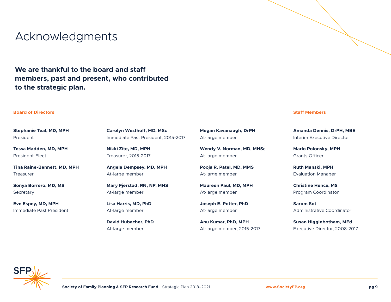### Acknowledgments

**We are thankful to the board and staff members, past and present, who contributed to the strategic plan.** 

#### **Board of Directors Staff Members**

**Stephanie Teal, MD, MPH** President

**Tessa Madden, MD, MPH** President-Elect

**Tina Raine-Bennett, MD, MPH** Treasurer

**Sonya Borrero, MD, MS Secretary** 

**Eve Espey, MD, MPH** Immediate Past President **Carolyn Westhoff, MD, MSc** Immediate Past President, 2015-2017

**Nikki Zite, MD, MPH** Treasurer, 2015-2017

**Angela Dempsey, MD, MPH** At-large member

**Mary Fjerstad, RN, NP, MHS** At-large member

**Lisa Harris, MD, PhD** At-large member

**David Hubacher, PhD** At-large member

**Megan Kavanaugh, DrPH** At-large member

**Wendy V. Norman, MD, MHSc** At-large member

**Pooja R. Patel, MD, MMS** At-large member

**Maureen Paul, MD, MPH** At-large member

**Joseph E. Potter, PhD** At-large member

**Anu Kumar, PhD, MPH** At-large member, 2015-2017

**Amanda Dennis, DrPH, MBE** Interim Executive Director

**Marlo Polonsky, MPH** Grants Officer

**Ruth Manski, MPH** Evaluation Manager

**Christine Hence, MS** Program Coordinator

**Sarom Sot** Administrative Coordinator

**Susan Higginbotham, MEd** Executive Director, 2008-2017

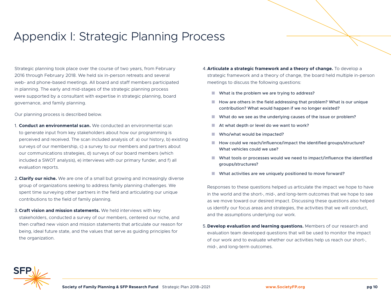### Appendix I: Strategic Planning Process

Strategic planning took place over the course of two years, from February 2016 through February 2018. We held six in-person retreats and several web- and phone-based meetings. All board and staff members participated in planning. The early and mid-stages of the strategic planning process were supported by a consultant with expertise in strategic planning, board governance, and family planning.

Our planning process is described below.

- 1. **Conduct an environmental scan.** We conducted an environmental scan to generate input from key stakeholders about how our programming is perceived and received. The scan included analysis of: a) our history, b) existing surveys of our membership, c) a survey to our members and partners about our communications strategies, d) surveys of our board members (which included a SWOT analysis), e) interviews with our primary funder, and f) all evaluation reports.
- 2.**Clarify our niche.** We are one of a small but growing and increasingly diverse group of organizations seeking to address family planning challenges. We spent time surveying other partners in the field and articulating our unique contributions to the field of family planning.
- 3.**Craft vision and mission statements.** We held interviews with key stakeholders, conducted a survey of our members, centered our niche, and then crafted new vision and mission statements that articulate our reason for being, ideal future state, and the values that serve as guiding principles for the organization.
- 4.**Articulate a strategic framework and a theory of change.** To develop a strategic framework and a theory of change, the board held multiple in-person meetings to discuss the following questions:
	- $\blacksquare$  What is the problem we are trying to address?
	- $\blacksquare$  How are others in the field addressing that problem? What is our unique contribution? What would happen if we no longer existed?
	- $\blacksquare$  What do we see as the underlying causes of the issue or problem?
	- At what depth or level do we want to work?
	- $\blacksquare$  Who/what would be impacted?
	- $\blacksquare$  How could we reach/influence/impact the identified groups/structure? What vehicles could we use?
	- $\blacksquare$  What tools or processes would we need to impact/influence the identified groups/structures?
	- $\blacksquare$  What activities are we uniquely positioned to move forward?

Responses to these questions helped us articulate the impact we hope to have in the world and the short-, mid-, and long-term outcomes that we hope to see as we move toward our desired impact. Discussing these questions also helped us identify our focus areas and strategies, the activities that we will conduct, and the assumptions underlying our work.

5.**Develop evaluation and learning questions.** Members of our research and evaluation team developed questions that will be used to monitor the impact of our work and to evaluate whether our activities help us reach our short-, mid-, and long-term outcomes.

![](_page_9_Picture_17.jpeg)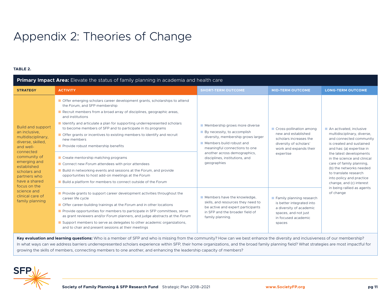## Appendix 2: Theories of Change

#### **TABLE 2.**

| Primary Impact Area: Elevate the status of family planning in academia and health care                                                                                                                                                                                               |                                                                                                                                                                                                                                                                                                                                                                                                                                                                                                                                                                                                                                                                                                                                                                                           |                                                                                                                                                                                                                                                                 |                                                                                                                                           |                                                                                                                                                                                                                                                                                                                                              |  |
|--------------------------------------------------------------------------------------------------------------------------------------------------------------------------------------------------------------------------------------------------------------------------------------|-------------------------------------------------------------------------------------------------------------------------------------------------------------------------------------------------------------------------------------------------------------------------------------------------------------------------------------------------------------------------------------------------------------------------------------------------------------------------------------------------------------------------------------------------------------------------------------------------------------------------------------------------------------------------------------------------------------------------------------------------------------------------------------------|-----------------------------------------------------------------------------------------------------------------------------------------------------------------------------------------------------------------------------------------------------------------|-------------------------------------------------------------------------------------------------------------------------------------------|----------------------------------------------------------------------------------------------------------------------------------------------------------------------------------------------------------------------------------------------------------------------------------------------------------------------------------------------|--|
| <b>STRATEGY</b>                                                                                                                                                                                                                                                                      | <b>ACTIVITY</b>                                                                                                                                                                                                                                                                                                                                                                                                                                                                                                                                                                                                                                                                                                                                                                           | <b>SHORT-TERM OUTCOME</b>                                                                                                                                                                                                                                       | <b>MID-TERM OUTCOME</b>                                                                                                                   | <b>LONG-TERM OUTCOME</b>                                                                                                                                                                                                                                                                                                                     |  |
| <b>Build and support</b><br>an inclusive.<br>multidisciplinary,<br>diverse, skilled,<br>and well-<br>connected<br>community of<br>emerging and<br>established<br>scholars and<br>partners who<br>have a shared<br>focus on the<br>science and<br>clinical care of<br>family planning | <b>Offer emerging scholars career development grants, scholarships to attend</b><br>the Forum, and SFP membership<br>Recruit members from a broad array of disciplines, geographic areas,<br>and institutions<br>I Identify and articulate a plan for supporting underrepresented scholars<br>to become members of SFP and to participate in its programs<br>■ Offer grants or incentives to existing members to identify and recruit<br>new members<br>Provide robust membership benefits<br>Create mentorship matching programs<br>Connect new Forum attendees with prior attendees<br><b>Build in networking events and sessions at the Forum, and provide</b><br>opportunities to host add-on meetings at the Forum<br>■ Build a platform for members to connect outside of the Forum | Membership grows more diverse<br>$\blacksquare$ By necessity, to accomplish<br>diversity, membership grows larger<br>Members build robust and<br>meaningful connections to one<br>another across demographics,<br>disciplines, institutions, and<br>geographies | Cross-pollination among<br>new and established<br>scholars increases the<br>diversity of scholars'<br>work and expands their<br>expertise | An activated, inclusive<br>multidisciplinary, diverse,<br>and connected community<br>is created and sustained<br>and has: (a) expertise in<br>the latest developments<br>in the science and clinical<br>care of family planning,<br>(b) the networks needed<br>to translate research<br>into policy and practice<br>change, and (c) interest |  |
|                                                                                                                                                                                                                                                                                      | Provide grants to support career development activities throughout the<br>career life cycle<br><b>Offer career-building trainings at the Forum and in other locations</b><br>Provide opportunities for members to participate in SFP committees, serve<br>as grant reviewers and/or Forum planners, and judge abstracts at the Forum<br>Support members to serve as delegates to other academic organizations,<br>and to chair and present sessions at their meetings                                                                                                                                                                                                                                                                                                                     | Members have the knowledge,<br>skills, and resources they need to<br>be active and expert participants<br>in SFP and the broader field of<br>family planning.                                                                                                   | Family planning research<br>is better integrated into<br>a diversity of academic<br>spaces, and not just<br>in focused academic<br>spaces | in being rallied as agents<br>of change                                                                                                                                                                                                                                                                                                      |  |

Key evaluation and learning questions: Who is a member of SFP and who is missing from the community? How can we best enhance the diversity and inclusiveness of our membership? In what ways can we address barriers underrepresented scholars experience within SFP, their home organizations, and the broad family planning field? What strategies are most impactful for growing the skills of members, connecting members to one another, and enhancing the leadership capacity of members?

![](_page_10_Picture_4.jpeg)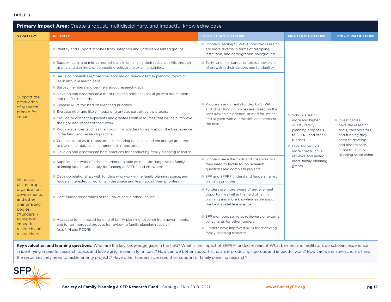#### **TABLE 3.**

| Primary Impact Area: Create a robust, multidisciplinary, and impactful knowledge base                                                                                              |                                                                                                                                                                            |                                                                                                                                                          |                                                                                                                                                                                                             |                                                                                                                                                                   |  |
|------------------------------------------------------------------------------------------------------------------------------------------------------------------------------------|----------------------------------------------------------------------------------------------------------------------------------------------------------------------------|----------------------------------------------------------------------------------------------------------------------------------------------------------|-------------------------------------------------------------------------------------------------------------------------------------------------------------------------------------------------------------|-------------------------------------------------------------------------------------------------------------------------------------------------------------------|--|
| <b>STRATEGY</b>                                                                                                                                                                    | <b>ACTIVITY</b>                                                                                                                                                            | <b>SHORT-TERM OUTCOME</b>                                                                                                                                | <b>MID-TERM OUTCOME</b>                                                                                                                                                                                     | <b>LONG-TERM OUTCOME</b>                                                                                                                                          |  |
|                                                                                                                                                                                    | I Identify and support scholars from untapped and underrepresented groups                                                                                                  | Scholars leading SFPRF-supported research<br>are more diverse in terms of discipline,<br>institution, and demographic background                         |                                                                                                                                                                                                             | Investigators<br>have the research<br>tools, collaborators,<br>and funding they<br>need to develop<br>and disseminate<br>impactful family<br>planning scholarship |  |
|                                                                                                                                                                                    | Support early and mid-career scholars in enhancing their research skills through<br>grants and trainings, or connecting scholars to existing trainings                     | Early- and mid-career scholars show signs<br>of growth in their careers and fundability                                                                  |                                                                                                                                                                                                             |                                                                                                                                                                   |  |
|                                                                                                                                                                                    | Serve on committees/coalitions focused on relevant family planning topics to<br>learn about research gaps                                                                  |                                                                                                                                                          |                                                                                                                                                                                                             |                                                                                                                                                                   |  |
|                                                                                                                                                                                    | Survey members and partners about research gaps                                                                                                                            |                                                                                                                                                          |                                                                                                                                                                                                             |                                                                                                                                                                   |  |
| Support the                                                                                                                                                                        | Develop and disseminate a list of research priorities that align with our mission<br>and the field's needs                                                                 |                                                                                                                                                          |                                                                                                                                                                                                             |                                                                                                                                                                   |  |
| production<br>of research                                                                                                                                                          | Release RFPs focused on identified priorities                                                                                                                              | Proposals and grants funded by SFPRF                                                                                                                     |                                                                                                                                                                                                             |                                                                                                                                                                   |  |
| primed for<br>impact                                                                                                                                                               | Evaluate rigor and likely impact of grants as part of review process                                                                                                       | and other funding bodies are based on the<br>best available evidence, primed for impact,                                                                 |                                                                                                                                                                                                             |                                                                                                                                                                   |  |
|                                                                                                                                                                                    | Provide or connect applicants and grantees with resources that will help improve<br>the rigor and impact of their work                                                     | and aligned with our mission and needs of<br>the field                                                                                                   | Scholars submit<br>more and higher<br>quality family<br>planning proposals<br>to SFPRF and other<br>funders<br>Funders provide<br>more constructive<br>reviews, and award<br>more family planning<br>grants |                                                                                                                                                                   |  |
|                                                                                                                                                                                    | Provide avenues (such as the Forum) for scholars to learn about the best science<br>in the field, and research practice                                                    |                                                                                                                                                          |                                                                                                                                                                                                             |                                                                                                                                                                   |  |
|                                                                                                                                                                                    | Connect scholars to repositories for sharing data sets and encourage grantees<br>to place their data and instruments in repositories                                       |                                                                                                                                                          |                                                                                                                                                                                                             |                                                                                                                                                                   |  |
|                                                                                                                                                                                    | Develop and disseminate best practices for conducting family planning research                                                                                             |                                                                                                                                                          |                                                                                                                                                                                                             |                                                                                                                                                                   |  |
|                                                                                                                                                                                    | Support a network of scholars primed to take on multisite, large-scale family<br>planning studies and apply for funding at SFPRF and elsewhere                             | Scholars have the tools and collaborators<br>they need to tackle tough research<br>questions and complete projects                                       |                                                                                                                                                                                                             |                                                                                                                                                                   |  |
| <b>Influence</b><br>philanthropic<br>organizations,<br>governments,<br>and other<br>grantmaking<br>bodies<br>("funders")<br>to support<br>impactful<br>research and<br>researchers | Develop relationships with funders who work in the family planning space, and<br>funders interested in working in the space and learn about their priorities               | SFP and SFPRF understand funders' family<br>planning priorities                                                                                          |                                                                                                                                                                                                             |                                                                                                                                                                   |  |
|                                                                                                                                                                                    | Host funder roundtables at the Forum and in other venues                                                                                                                   | Funders are more aware of engagement<br>opportunities within the field of family<br>planning and more knowledgeable about<br>the best available evidence |                                                                                                                                                                                                             |                                                                                                                                                                   |  |
|                                                                                                                                                                                    | Advocate for increased funding of family planning research from governments,<br>and for an improved process for reviewing family planning research<br>(e.g. NIH and PCORI) | SFP members serve as reviewers or external<br>consultants for other funders<br>Funders have improved skills for reviewing<br>family planning research    |                                                                                                                                                                                                             |                                                                                                                                                                   |  |

Key evaluation and learning questions: What are the key knowledge gaps in the field? What is the impact of SFPRF-funded research? What barriers and facilitators do scholars experience in identifying impactful research topics and leveraging research for impact? How can we better support scholars in producing rigorous and impactful work? How can we ensure scholars have the resources they need to tackle priority projects? Have other funders increased their support of family planning research?

![](_page_11_Picture_3.jpeg)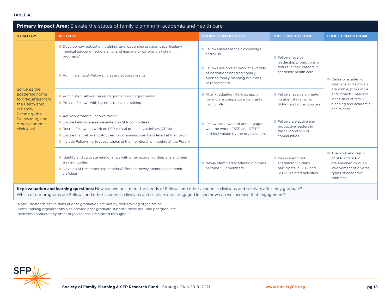| <b>Primary Impact Area:</b> Elevate the status of family planning in academia and health care                                                           |                                                                                                                                                                                                                                                                                                                 |                                                                                                                                    |                                                                                                |                                                                                                                             |  |
|---------------------------------------------------------------------------------------------------------------------------------------------------------|-----------------------------------------------------------------------------------------------------------------------------------------------------------------------------------------------------------------------------------------------------------------------------------------------------------------|------------------------------------------------------------------------------------------------------------------------------------|------------------------------------------------------------------------------------------------|-----------------------------------------------------------------------------------------------------------------------------|--|
| <b>STRATEGY</b>                                                                                                                                         | <b>ACTIVITY</b>                                                                                                                                                                                                                                                                                                 | <b>SHORT-TERM OUTCOME</b>                                                                                                          | <b>MID-TERM OUTCOME</b>                                                                        | <b>LONG-TERM OUTCOME</b>                                                                                                    |  |
| Serve as the<br>academic home<br>to graduates from<br>the Fellowship<br>in Family<br>Planning (the<br>Fellowship), and<br>other academic<br>clinicians* | Develop new education, training, and leadership programs (particularly<br>medical education scholarship) and manage or co-brand existing<br>programs*                                                                                                                                                           | Fellows increase their knowledge<br>and skills                                                                                     | Fellows receive<br>leadership promotions or                                                    | Cadre of academic<br>clinicians and scholars                                                                                |  |
|                                                                                                                                                         | Administer post-Fellowship salary support grants                                                                                                                                                                                                                                                                | Fellows are able to work at a variety<br>of institutions not traditionally<br>open to family planning clinicians<br>or researchers | tenure in their careers in<br>academic health care                                             |                                                                                                                             |  |
|                                                                                                                                                         | Administer Fellows' research grants prior to graduation<br>Provide Fellows with rigorous research training*                                                                                                                                                                                                     | After graduation, Fellows apply<br>for and are competitive for grants<br>from SFPRF                                                | Fellows receive a greater<br>number of grants from<br>SFPRF and other sources                  | are visible, productive,<br>and impactful leaders<br>in the field of family<br>planning and academic<br>health care         |  |
|                                                                                                                                                         | Actively promote Fellows' work*<br>Ensure Fellows are represented on SFP committees<br>Recruit Fellows to work on SFP clinical practice guidelines (CPGs)<br>Ensure that Fellowship-focused programming can be offered at the Forum<br>Include Fellowship-focused topics at the membership meeting at the Forum | Fellows are aware of and engaged<br>with the work of SFP and SFPRF.<br>and feel valued by the organizations                        | Fellows are active and<br>productive leaders in<br>the SFP and SFPRF<br>communities            |                                                                                                                             |  |
|                                                                                                                                                         | I Identify and cultivate relationships with other academic clinicians and their<br>training bodies<br>Develop SFP membership benefits/offers for newly identified academic<br>clinicians                                                                                                                        | Newly identified academic clinicians<br>become SFP members                                                                         | Newly identified<br>academic clinicians<br>participate in SFP- and<br>SEPRE-related activities | The work and reach<br>of SFP and SFPRF<br>are enriched through<br>involvement of diverse<br>types of academic<br>clinicians |  |

**Key evaluation and learning questions:** How can we best meet the needs of Fellows and other academic clinicians and scholars after they graduate? Which of our programs are Fellows and other academic clinicians and scholars most engaged in, and how can we increase that engagement?

\*Note: The needs of clinicians prior to graduation are met by their training organization. Some training organizations also provide post-graduate support; these pre- and postgraduate activities conducted by other organizations are starred throughout.

![](_page_12_Picture_4.jpeg)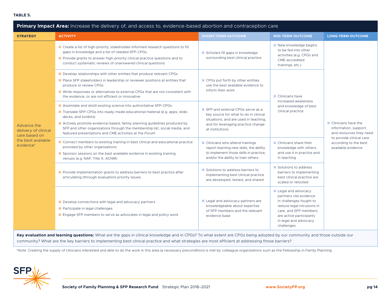#### **TABLE 5.**

| Primary Impact Area: Increase the delivery of, and access to, evidence-based abortion and contraception care |                                                                                                                                                                                                                                                                                                                                                                                              |                                                                                                                                                                             |                                                                                                                                                                                                  |                                                                                        |  |
|--------------------------------------------------------------------------------------------------------------|----------------------------------------------------------------------------------------------------------------------------------------------------------------------------------------------------------------------------------------------------------------------------------------------------------------------------------------------------------------------------------------------|-----------------------------------------------------------------------------------------------------------------------------------------------------------------------------|--------------------------------------------------------------------------------------------------------------------------------------------------------------------------------------------------|----------------------------------------------------------------------------------------|--|
| <b>STRATEGY</b>                                                                                              | <b>ACTIVITY</b>                                                                                                                                                                                                                                                                                                                                                                              | <b>SHORT-TERM OUTCOME</b>                                                                                                                                                   | <b>MID-TERM OUTCOME</b>                                                                                                                                                                          | <b>LONG-TERM OUTCOME</b>                                                               |  |
| Advance the<br>delivery of clinical<br>care based on<br>the best available<br>evidence*                      | ■ Create a list of high-priority, stakeholder-informed research questions to fill<br>gaps in knowledge and a list of needed SFP-CPGs<br><b>Provide grants to answer high-priority clinical practice questions and to</b><br>conduct systematic reviews of unanswered clinical questions                                                                                                      | Scholars fill gaps in knowledge<br>surrounding best clinical practice                                                                                                       | New knowledge begins<br>to be fed into other<br>activities (e.g. CPGs and<br>CME-accredited<br>trainings, etc.)                                                                                  | $\blacksquare$ Clinicians have the<br>information, support,<br>and resources they need |  |
|                                                                                                              | Develop relationships with other entities that produce relevant CPGs<br>Place SFP stakeholders in leadership or reviewer positions at entities that<br>produce or review CPGs<br>■ Write responses or alternatives to external CPGs that are not consistent with<br>the evidence, or are not efficient or innovative                                                                         | CPGs put forth by other entities<br>use the best available evidence to<br>inform their work                                                                                 | Clinicians have<br>increased awareness<br>and knowledge of best<br>clinical practice                                                                                                             |                                                                                        |  |
|                                                                                                              | Assimilate and distill existing science into authoritative SFP-CPGs<br>Translate SFP-CPGs into ready-made educational material (e.g. apps, slide-<br>decks, and toolkits)<br>Actively promote evidence-based, family planning guidelines produced by<br>SFP and other organizations through the membership list, social media, and<br>featured presentations and CME activities at the Forum | SFP and external CPGs serve as a<br>key source for what to do in clinical<br>situations, and are used in teaching,<br>and for leveraging practice change<br>at institutions |                                                                                                                                                                                                  |                                                                                        |  |
|                                                                                                              | Connect members to existing training in best clinical and educational practice<br>provided by other organizations<br>Sponsor sessions on the best available evidence in existing training<br>venues (e.g. NAF, Title X, ACNM)                                                                                                                                                                | ■ Clinicians who attend trainings<br>report learning new skills, the ability<br>to implement those skills in practice,<br>and/or the ability to train others                | Clinicians share their<br>knowledge with others,<br>and use it in practice and<br>in teaching                                                                                                    | to provide clinical care<br>according to the best<br>available evidence                |  |
|                                                                                                              | Provide implementation grants to address barriers to best practice after<br>articulating (through evaluation) priority issues                                                                                                                                                                                                                                                                | Solutions to address barriers to<br>implementing best clinical practice<br>are developed, tested, and shared                                                                | Solutions to address<br>barriers to implementing<br>best clinical practice are<br>scaled or retooled                                                                                             |                                                                                        |  |
|                                                                                                              | Develop connections with legal and advocacy partners<br>Participate in legal challenges<br>Engage SFP members to serve as advocates in legal and policy work                                                                                                                                                                                                                                 | Legal and advocacy partners are<br>knowledgeable about expertise<br>of SFP members and the relevant<br>evidence base                                                        | Legal and advocacy<br>partners cite evidence<br>in challenges fought to<br>reduce legal intrusions in<br>care, and SFP members<br>are active participants<br>in legal and advocacy<br>challenges |                                                                                        |  |

**Key evaluation and learning questions:** What are the gaps in clinical knowledge and in CPGs? To what extent are CPGs being adopted by our community and those outside our community? What are the key barriers to implementing best clinical practice and what strategies are most efficient at addressing those barriers?

\*Note: Creating the supply of clinicians interested and able to do the work in this area (a necessary precondition) is met by colleague organizations such as the Fellowship in Family Planning.

![](_page_13_Picture_4.jpeg)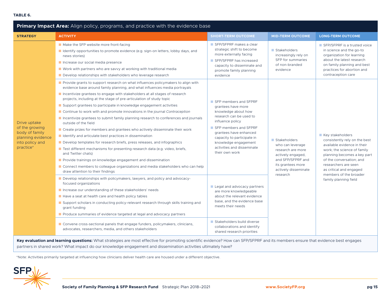#### **TABLE 6.**

| Primary Impact Area: Align policy, programs, and practice with the evidence base                      |                                                                                                                                                                                                                                                                                                                                                                                                                                                                                                                                                                                                                                                                                                                                                                                                                                                                                                                                                                                                                                                                                                                     |                                                                                                                                                                                                                                                                            |                                                                                                                                              |                                                                                                                                                                                                                               |  |  |
|-------------------------------------------------------------------------------------------------------|---------------------------------------------------------------------------------------------------------------------------------------------------------------------------------------------------------------------------------------------------------------------------------------------------------------------------------------------------------------------------------------------------------------------------------------------------------------------------------------------------------------------------------------------------------------------------------------------------------------------------------------------------------------------------------------------------------------------------------------------------------------------------------------------------------------------------------------------------------------------------------------------------------------------------------------------------------------------------------------------------------------------------------------------------------------------------------------------------------------------|----------------------------------------------------------------------------------------------------------------------------------------------------------------------------------------------------------------------------------------------------------------------------|----------------------------------------------------------------------------------------------------------------------------------------------|-------------------------------------------------------------------------------------------------------------------------------------------------------------------------------------------------------------------------------|--|--|
| <b>STRATEGY</b>                                                                                       | <b>ACTIVITY</b>                                                                                                                                                                                                                                                                                                                                                                                                                                                                                                                                                                                                                                                                                                                                                                                                                                                                                                                                                                                                                                                                                                     | <b>SHORT-TERM OUTCOME</b>                                                                                                                                                                                                                                                  | <b>MID-TERM OUTCOME</b>                                                                                                                      | <b>LONG-TERM OUTCOME</b>                                                                                                                                                                                                      |  |  |
| Drive uptake<br>of the growing<br>body of family<br>planning evidence<br>into policy and<br>practice* | ■ Make the SFP website more front-facing<br>I Identify opportunities to promote evidence (e.g. sign-on letters, lobby days, and<br>news stories)<br>Increase our social media presence<br>■ Work with partners who are savvy at working with traditional media<br>Develop relationships with stakeholders who leverage research                                                                                                                                                                                                                                                                                                                                                                                                                                                                                                                                                                                                                                                                                                                                                                                     | SFP/SFPRF makes a clear<br>strategic shift to become<br>more externally facing<br>SFP/SFPRF has increased<br>capacity to disseminate and<br>promote family planning<br>evidence                                                                                            | Stakeholders<br>increasingly rely on<br>SFP for summaries<br>of non-branded<br>evidence                                                      | SEP/SEPRE is a trusted voice<br>in science and the go-to<br>organization for learning<br>about the latest research<br>on family planning and best<br>practices for abortion and<br>contraception care                         |  |  |
|                                                                                                       | Provide grants to support research on what influences policymakers to align with<br>evidence base around family planning, and what influences media portrayals<br>Incentivize grantees to engage with stakeholders at all stages of research<br>projects, including at the stage of pre-articulation of study topic<br>Support grantees to participate in knowledge engagement activities<br>Continue to work with and promote innovations in the journal Contraception<br>Incentivize grantees to submit family planning research to conferences and journals<br>outside of the field<br>Create prizes for members and grantees who actively disseminate their work<br>$\blacksquare$ Identify and articulate best practices in dissemination<br>Develop templates for research briefs, press releases, and infographics<br>Trest different mechanisms for presenting research data (e.g. video, briefs,<br>and Twitter chats)<br>Provide trainings on knowledge engagement and dissemination<br>Onnect members to colleague organizations and media stakeholders who can help<br>draw attention to their findings | SFP members and SFPRF<br>grantees have more<br>knowledge about how<br>research can be used to<br>influence policy<br>SFP members and SFPRF<br>grantees have enhanced<br>capacity to participate in<br>knowledge engagement<br>activities and disseminate<br>their own work | Stakeholders<br>who can leverage<br>research are more<br>actively engaged,<br>and SFP/SFPRF and<br>its grantees more<br>actively disseminate | Key stakeholders<br>consistently rely on the best<br>available evidence in their<br>work; the science of family<br>planning becomes a key part<br>of the conversation; and<br>researchers are seen<br>as critical and engaged |  |  |
|                                                                                                       | Develop relationships with policymakers, lawyers, and policy and advocacy-<br>focused organizations<br>Increase our understanding of these stakeholders' needs<br>Have a seat at health care and health policy tables<br>Support scholars in conducting policy-relevant research through skills training and<br>grant funding<br>Produce summaries of evidence targeted at legal and advocacy partners                                                                                                                                                                                                                                                                                                                                                                                                                                                                                                                                                                                                                                                                                                              | Legal and advocacy partners<br>are more knowledgeable<br>about the relevant evidence<br>base, and the evidence base<br>meets their needs                                                                                                                                   | research                                                                                                                                     | members of the broader<br>family planning field                                                                                                                                                                               |  |  |
|                                                                                                       | Convene cross-sectional panels that engage funders, policymakers, clinicians,<br>advocates, researchers, media, and others stakeholders                                                                                                                                                                                                                                                                                                                                                                                                                                                                                                                                                                                                                                                                                                                                                                                                                                                                                                                                                                             | Stakeholders build diverse<br>collaborations and identify<br>shared research priorities                                                                                                                                                                                    |                                                                                                                                              |                                                                                                                                                                                                                               |  |  |

Key evaluation and learning questions: What strategies are most effective for promoting scientific evidence? How can SFP/SFPRF and its members ensure that evidence best engages partners in shared work? What impact do our knowledge engagement and dissemination activities ultimately have?

\*Note: Activities primarily targeted at influencing how clinicians deliver health care are housed under a different objective.

![](_page_14_Picture_4.jpeg)